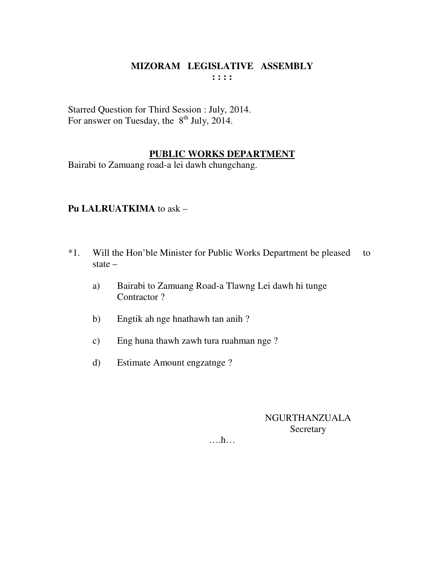### **MIZORAM LEGISLATIVE ASSEMBLY : : : :**

Starred Question for Third Session : July, 2014. For answer on Tuesday, the  $8<sup>th</sup>$  July, 2014.

### **PUBLIC WORKS DEPARTMENT**

Bairabi to Zamuang road-a lei dawh chungchang.

### **Pu LALRUATKIMA** to ask –

- \*1. Will the Hon'ble Minister for Public Works Department be pleased to state –
	- a) Bairabi to Zamuang Road-a Tlawng Lei dawh hi tunge Contractor ?
	- b) Engtik ah nge hnathawh tan anih ?
	- c) Eng huna thawh zawh tura ruahman nge ?
	- d) Estimate Amount engzatnge ?

### NGURTHANZUALA **Secretary**

….h…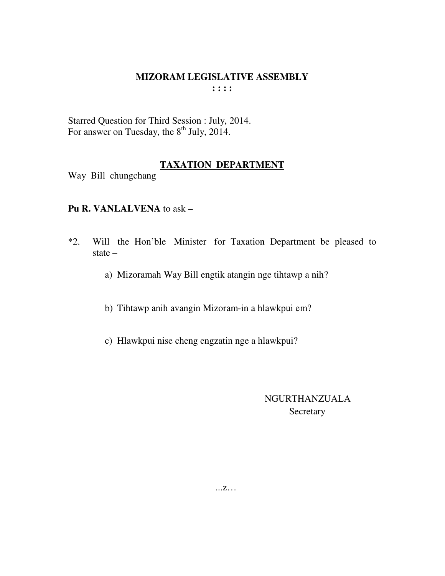#### **MIZORAM LEGISLATIVE ASSEMBLY : : : :**

Starred Question for Third Session : July, 2014. For answer on Tuesday, the  $8<sup>th</sup>$  July, 2014.

### **TAXATION DEPARTMENT**

Way Bill chungchang

### **Pu R. VANLALVENA** to ask –

- \*2. Will the Hon'ble Minister for Taxation Department be pleased to state –
	- a) Mizoramah Way Bill engtik atangin nge tihtawp a nih?
	- b) Tihtawp anih avangin Mizoram-in a hlawkpui em?
	- c) Hlawkpui nise cheng engzatin nge a hlawkpui?

### NGURTHANZUALA Secretary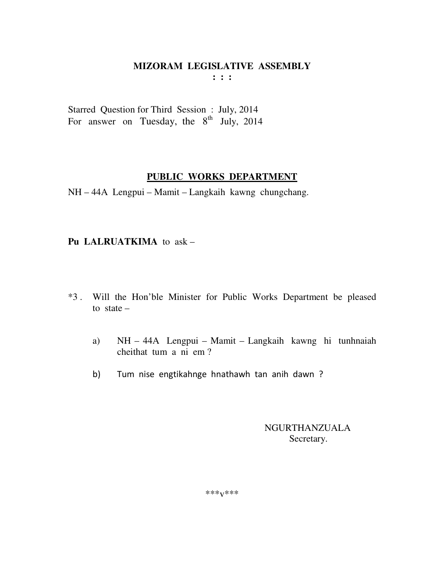**: : :** 

Starred Question for Third Session : July, 2014 For answer on Tuesday, the  $8<sup>th</sup>$  July, 2014

### **PUBLIC WORKS DEPARTMENT**

NH – 44A Lengpui – Mamit – Langkaih kawng chungchang.

### **Pu LALRUATKIMA** to ask –

- \*3 . Will the Hon'ble Minister for Public Works Department be pleased to state  $$ 
	- a) NH 44A Lengpui Mamit Langkaih kawng hi tunhnaiah cheithat tum a ni em ?
	- b) Tum nise engtikahnge hnathawh tan anih dawn ?

 NGURTHANZUALA Secretary.

\*\*\*v\*\*\*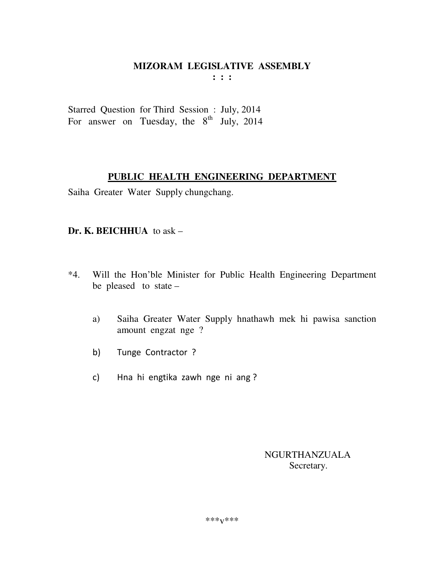$: : :$ 

Starred Question for Third Session : July, 2014 For answer on Tuesday, the  $8^{th}$  July, 2014

### PUBLIC HEALTH ENGINEERING DEPARTMENT

Saiha Greater Water Supply chungchang.

### Dr. K. BEICHHUA to  $ask -$

- Will the Hon'ble Minister for Public Health Engineering Department  $*4.$ be pleased to state  $-$ 
	- Saiha Greater Water Supply hnathawh mek hi pawisa sanction a) amount engzat nge ?
	- $b)$ Tunge Contractor ?
	- Hna hi engtika zawh nge ni ang?  $\mathsf{C}$

**NGURTHANZUALA** Secretary.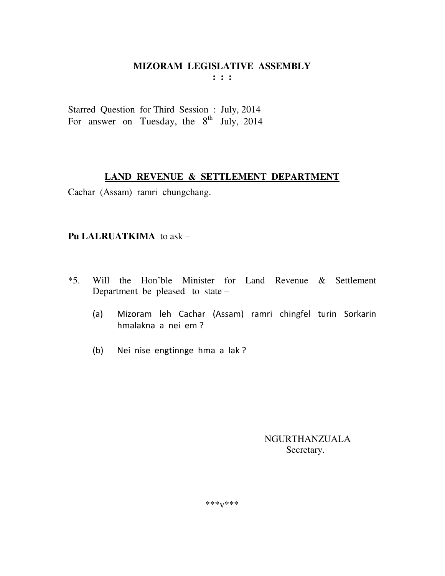**: : :** 

Starred Question for Third Session : July, 2014 For answer on Tuesday, the  $8<sup>th</sup>$  July, 2014

### **LAND REVENUE & SETTLEMENT DEPARTMENT**

Cachar (Assam) ramri chungchang.

### **Pu LALRUATKIMA** to ask –

- \*5. Will the Hon'ble Minister for Land Revenue & Settlement Department be pleased to state –
	- (a) Mizoram leh Cachar (Assam) ramri chingfel turin Sorkarin hmalakna a nei em ?
	- (b) Nei nise engtinnge hma a lak ?

 NGURTHANZUALA Secretary.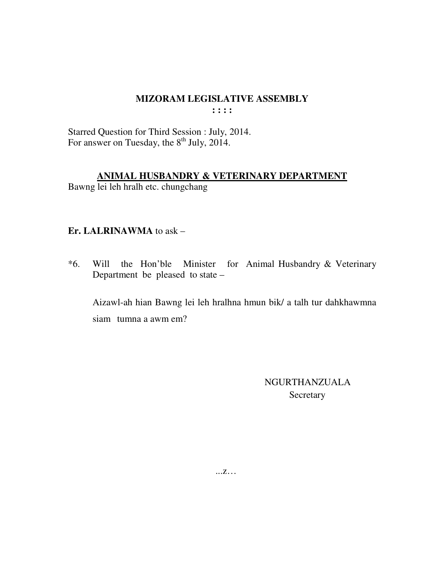$: : : :$ 

Starred Question for Third Session : July, 2014.<br>For answer on Tuesday, the 8<sup>th</sup> July, 2014.

### ANIMAL HUSBANDRY & VETERINARY DEPARTMENT

Bawng lei leh hralh etc. chungchang

### Er. LALRINAWMA to ask -

 $*6.$ Will the Hon'ble Minister for Animal Husbandry & Veterinary Department be pleased to state -

Aizawl-ah hian Bawng lei leh hralhna hmun bik/ a talh tur dahkhawmna siam tumna a awm em?

> **NGURTHANZUALA** Secretary

 $\dots Z\dots$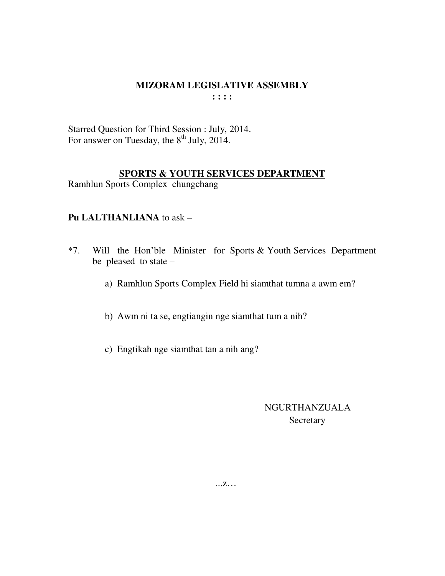**: : : :** 

Starred Question for Third Session : July, 2014. For answer on Tuesday, the  $8<sup>th</sup>$  July, 2014.

### **SPORTS & YOUTH SERVICES DEPARTMENT**

Ramhlun Sports Complex chungchang

### **Pu LALTHANLIANA** to ask –

- \*7. Will the Hon'ble Minister for Sports & Youth Services Department be pleased to state –
	- a) Ramhlun Sports Complex Field hi siamthat tumna a awm em?
	- b) Awm ni ta se, engtiangin nge siamthat tum a nih?
	- c) Engtikah nge siamthat tan a nih ang?

### NGURTHANZUALA **Secretary**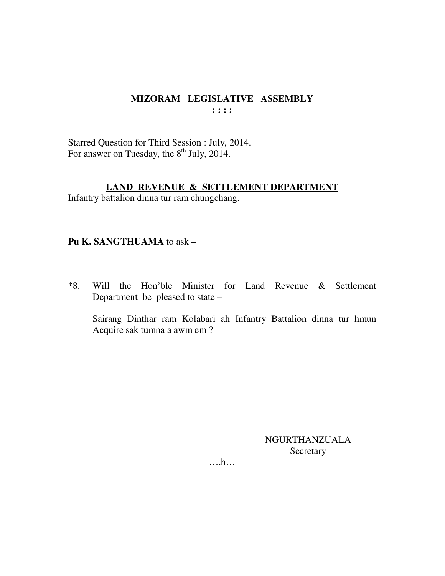### MIZORAM LEGISLATIVE ASSEMBLY  $\mathbf{1}$ :  $\mathbf{1}$

Starred Question for Third Session : July, 2014. For answer on Tuesday, the 8<sup>th</sup> July, 2014.

### LAND REVENUE & SETTLEMENT DEPARTMENT

Infantry battalion dinna tur ram chungchang.

### Pu K. SANGTHUAMA to ask -

Will the Hon'ble Minister for Land Revenue & Settlement  $*8.$ Department be pleased to state –

Sairang Dinthar ram Kolabari ah Infantry Battalion dinna tur hmun Acquire sak tumna a awm em ?

> NGURTHANZUALA Secretary

 $\dots$ ...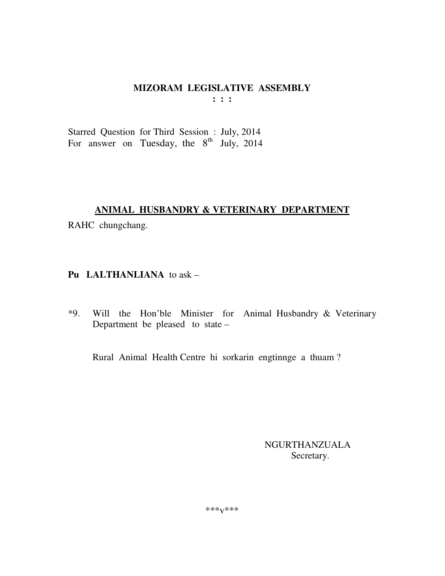Starred Question for Third Session : July, 2014 For answer on Tuesday, the  $8^{th}$  July, 2014

### ANIMAL HUSBANDRY & VETERINARY DEPARTMENT

RAHC chungchang.

### Pu LALTHANLIANA to ask -

\*9. Will the Hon'ble Minister for Animal Husbandry & Veterinary Department be pleased to state –

Rural Animal Health Centre hi sorkarin engtinnge a thuam?

**NGURTHANZUALA** Secretary.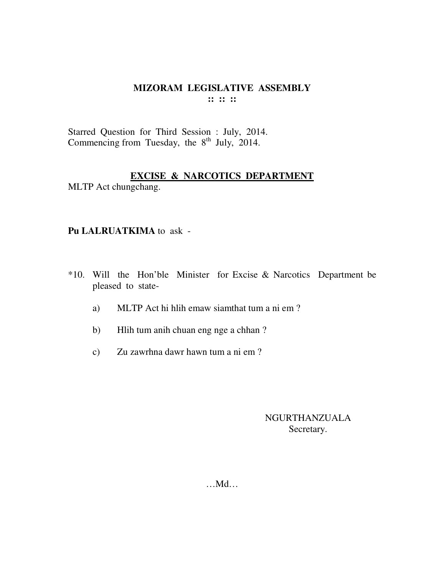#### **MIZORAM LEGISLATIVE ASSEMBLY :: :: ::**

Starred Question for Third Session : July, 2014. Commencing from Tuesday, the  $8<sup>th</sup>$  July, 2014.

### **EXCISE & NARCOTICS DEPARTMENT**

MLTP Act chungchang.

### **Pu LALRUATKIMA** to ask -

- \*10. Will the Hon'ble Minister for Excise & Narcotics Department be pleased to state
	- a) MLTP Act hi hlih emaw siamthat tum a ni em ?
	- b) Hlih tum anih chuan eng nge a chhan ?
	- c) Zu zawrhna dawr hawn tum a ni em ?

### NGURTHANZUALA Secretary.

…Md…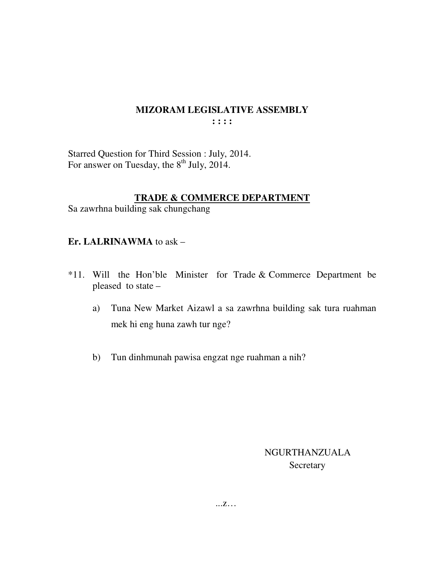### **MIZORAM LEGISLATIVE ASSEMBLY : : : :**

Starred Question for Third Session : July, 2014. For answer on Tuesday, the  $8<sup>th</sup>$  July, 2014.

### **TRADE & COMMERCE DEPARTMENT**

Sa zawrhna building sak chungchang

### **Er. LALRINAWMA** to ask –

- \*11. Will the Hon'ble Minister for Trade & Commerce Department be pleased to state –
	- a) Tuna New Market Aizawl a sa zawrhna building sak tura ruahman mek hi eng huna zawh tur nge?
	- b) Tun dinhmunah pawisa engzat nge ruahman a nih?

### NGURTHANZUALA **Secretary**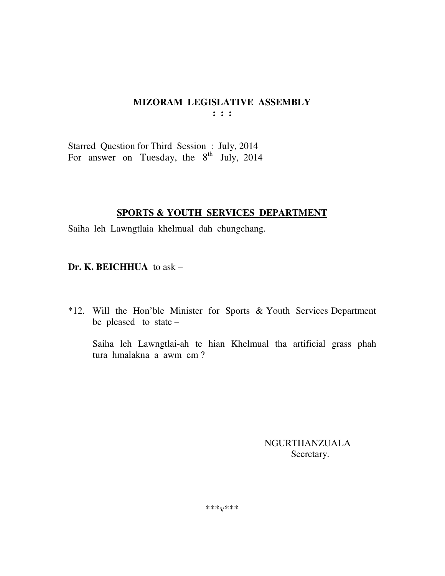Starred Question for Third Session : July, 2014 For answer on Tuesday, the  $8<sup>th</sup>$  July, 2014

### **SPORTS & YOUTH SERVICES DEPARTMENT**

Saiha leh Lawngtlaia khelmual dah chungchang.

**Dr. K. BEICHHUA** to ask –

\*12. Will the Hon'ble Minister for Sports & Youth Services Department be pleased to state –

 Saiha leh Lawngtlai-ah te hian Khelmual tha artificial grass phah tura hmalakna a awm em ?

> NGURTHANZUALA Secretary.

\*\*\*v\*\*\*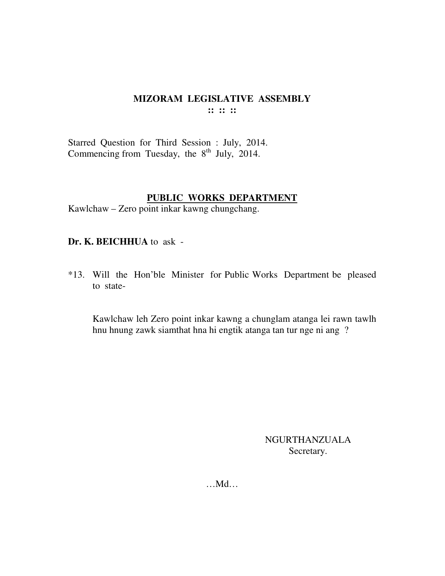### **MIZORAM LEGISLATIVE ASSEMBLY :: :: ::**

Starred Question for Third Session : July, 2014. Commencing from Tuesday, the  $8<sup>th</sup>$  July, 2014.

### **PUBLIC WORKS DEPARTMENT**

Kawlchaw – Zero point inkar kawng chungchang.

**Dr. K. BEICHHUA** to ask -

\*13. Will the Hon'ble Minister for Public Works Department be pleased to state-

 Kawlchaw leh Zero point inkar kawng a chunglam atanga lei rawn tawlh hnu hnung zawk siamthat hna hi engtik atanga tan tur nge ni ang ?

> NGURTHANZUALA Secretary.

…Md…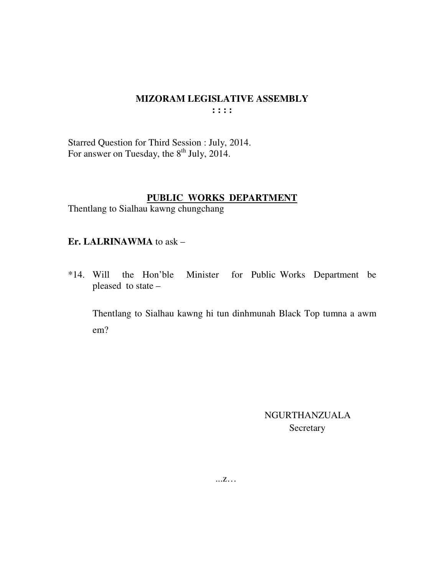#### **MIZORAM LEGISLATIVE ASSEMBLY**  $: : : :$

Starred Question for Third Session : July, 2014. For answer on Tuesday, the 8<sup>th</sup> July, 2014.

### PUBLIC WORKS DEPARTMENT

Thentlang to Sialhau kawng chungchang

### Er. LALRINAWMA to ask -

\*14. Will the Hon'ble Minister for Public Works Department be pleased to state -

Thentlang to Sialhau kawng hi tun dinhmunah Black Top tumna a awm  $em?$ 

> **NGURTHANZUALA** Secretary

 $\dots Z \dots$